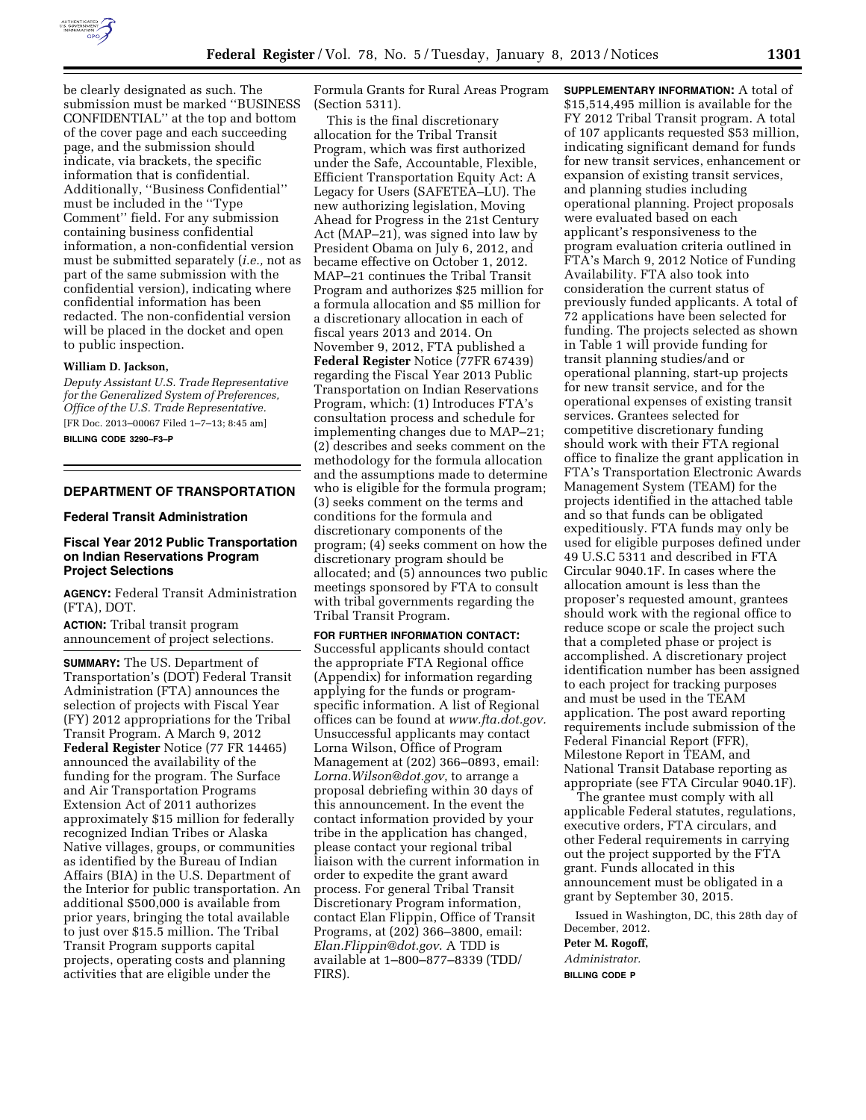

be clearly designated as such. The submission must be marked ''BUSINESS CONFIDENTIAL'' at the top and bottom of the cover page and each succeeding page, and the submission should indicate, via brackets, the specific information that is confidential. Additionally, ''Business Confidential'' must be included in the ''Type Comment'' field. For any submission containing business confidential information, a non-confidential version must be submitted separately (*i.e.,* not as part of the same submission with the confidential version), indicating where confidential information has been redacted. The non-confidential version will be placed in the docket and open to public inspection.

## **William D. Jackson,**

*Deputy Assistant U.S. Trade Representative for the Generalized System of Preferences, Office of the U.S. Trade Representative.* 

[FR Doc. 2013–00067 Filed 1–7–13; 8:45 am] **BILLING CODE 3290–F3–P** 

# **DEPARTMENT OF TRANSPORTATION**

#### **Federal Transit Administration**

## **Fiscal Year 2012 Public Transportation on Indian Reservations Program Project Selections**

**AGENCY:** Federal Transit Administration (FTA), DOT.

**ACTION:** Tribal transit program announcement of project selections.

**SUMMARY:** The US. Department of Transportation's (DOT) Federal Transit Administration (FTA) announces the selection of projects with Fiscal Year (FY) 2012 appropriations for the Tribal Transit Program. A March 9, 2012 **Federal Register** Notice (77 FR 14465) announced the availability of the funding for the program. The Surface and Air Transportation Programs Extension Act of 2011 authorizes approximately \$15 million for federally recognized Indian Tribes or Alaska Native villages, groups, or communities as identified by the Bureau of Indian Affairs (BIA) in the U.S. Department of the Interior for public transportation. An additional \$500,000 is available from prior years, bringing the total available to just over \$15.5 million. The Tribal Transit Program supports capital projects, operating costs and planning activities that are eligible under the

Formula Grants for Rural Areas Program (Section 5311).

This is the final discretionary allocation for the Tribal Transit Program, which was first authorized under the Safe, Accountable, Flexible, Efficient Transportation Equity Act: A Legacy for Users (SAFETEA–LU). The new authorizing legislation, Moving Ahead for Progress in the 21st Century Act (MAP–21), was signed into law by President Obama on July 6, 2012, and became effective on October 1, 2012. MAP–21 continues the Tribal Transit Program and authorizes \$25 million for a formula allocation and \$5 million for a discretionary allocation in each of fiscal years 2013 and 2014. On November 9, 2012, FTA published a **Federal Register** Notice (77FR 67439) regarding the Fiscal Year 2013 Public Transportation on Indian Reservations Program, which: (1) Introduces FTA's consultation process and schedule for implementing changes due to MAP–21; (2) describes and seeks comment on the methodology for the formula allocation and the assumptions made to determine who is eligible for the formula program; (3) seeks comment on the terms and conditions for the formula and discretionary components of the program; (4) seeks comment on how the discretionary program should be allocated; and (5) announces two public meetings sponsored by FTA to consult with tribal governments regarding the Tribal Transit Program.

**FOR FURTHER INFORMATION CONTACT:**  Successful applicants should contact the appropriate FTA Regional office (Appendix) for information regarding applying for the funds or programspecific information. A list of Regional offices can be found at *[www.fta.dot.gov.](http://www.fta.dot.gov)*  Unsuccessful applicants may contact Lorna Wilson, Office of Program Management at (202) 366–0893, email: *[Lorna.Wilson@dot.gov](mailto:Lorna.Wilson@dot.gov)*, to arrange a proposal debriefing within 30 days of this announcement. In the event the contact information provided by your tribe in the application has changed, please contact your regional tribal liaison with the current information in order to expedite the grant award process. For general Tribal Transit Discretionary Program information, contact Elan Flippin, Office of Transit Programs, at (202) 366–3800, email: *[Elan.Flippin@dot.gov](mailto:Elan.Flippin@dot.gov)*. A TDD is available at 1–800–877–8339 (TDD/ FIRS).

**SUPPLEMENTARY INFORMATION:** A total of \$15,514,495 million is available for the FY 2012 Tribal Transit program. A total of 107 applicants requested \$53 million, indicating significant demand for funds for new transit services, enhancement or expansion of existing transit services, and planning studies including operational planning. Project proposals were evaluated based on each applicant's responsiveness to the program evaluation criteria outlined in FTA's March 9, 2012 Notice of Funding Availability. FTA also took into consideration the current status of previously funded applicants. A total of 72 applications have been selected for funding. The projects selected as shown in Table 1 will provide funding for transit planning studies/and or operational planning, start-up projects for new transit service, and for the operational expenses of existing transit services. Grantees selected for competitive discretionary funding should work with their FTA regional office to finalize the grant application in FTA's Transportation Electronic Awards Management System (TEAM) for the projects identified in the attached table and so that funds can be obligated expeditiously. FTA funds may only be used for eligible purposes defined under 49 U.S.C 5311 and described in FTA Circular 9040.1F. In cases where the allocation amount is less than the proposer's requested amount, grantees should work with the regional office to reduce scope or scale the project such that a completed phase or project is accomplished. A discretionary project identification number has been assigned to each project for tracking purposes and must be used in the TEAM application. The post award reporting requirements include submission of the Federal Financial Report (FFR), Milestone Report in TEAM, and National Transit Database reporting as appropriate (see FTA Circular 9040.1F).

The grantee must comply with all applicable Federal statutes, regulations, executive orders, FTA circulars, and other Federal requirements in carrying out the project supported by the FTA grant. Funds allocated in this announcement must be obligated in a grant by September 30, 2015.

Issued in Washington, DC, this 28th day of December, 2012.

**Peter M. Rogoff,** 

*Administrator.* 

**BILLING CODE P**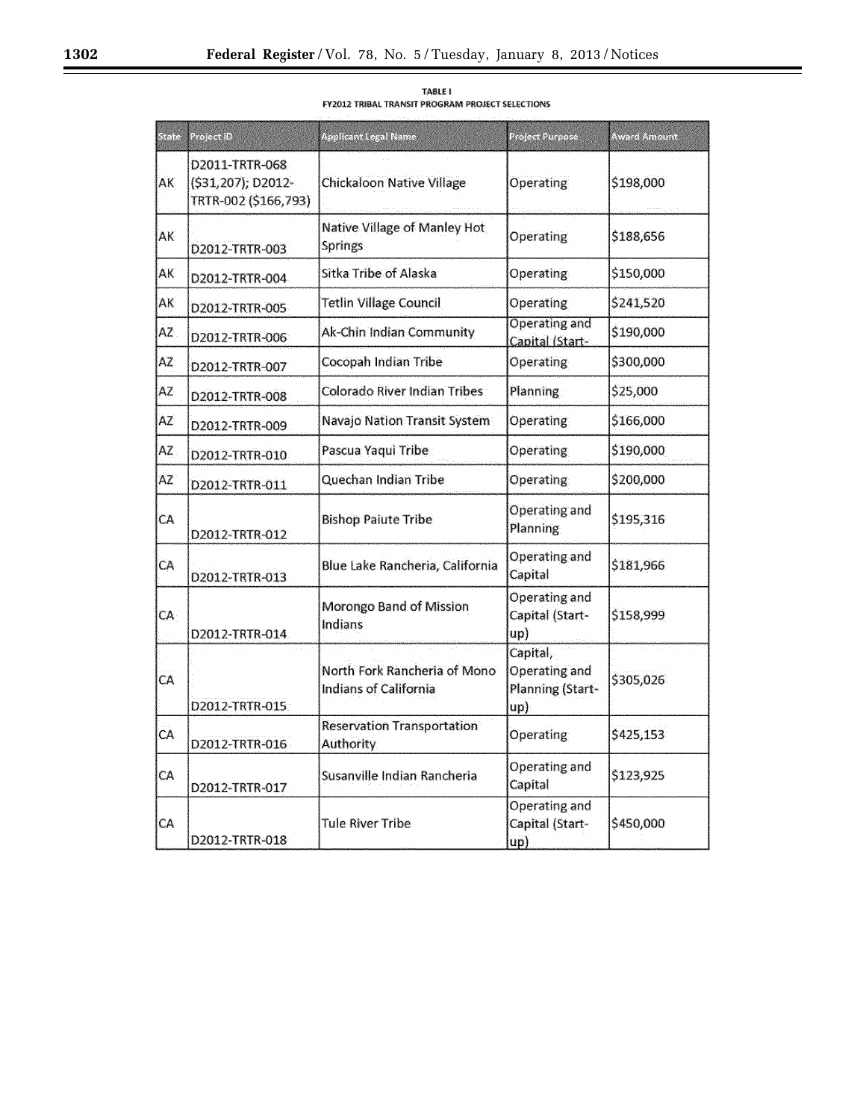۰

| State | Project ID                                                   | <b>Applicant Legal Name</b>                           | Project Purpose                                      | <b>Award Amount</b> |
|-------|--------------------------------------------------------------|-------------------------------------------------------|------------------------------------------------------|---------------------|
| AK.   | D2011-TRTR-068<br>(\$31,207); D2012-<br>TRTR-002 (\$166,793) | <b>Chickaloon Native Village</b>                      | <b>Operating</b>                                     | \$198,000           |
| AK.   | D2012-TRTR-003                                               | Native Village of Manley Hot<br>Springs               | Operating                                            | \$188,656           |
| AK    | D2012-TRTR-004                                               | Sitka Tribe of Alaska                                 | Operating                                            | \$150,000           |
| AK    | D2012-TRTR-005                                               | <b>Tetlin Village Council</b>                         | Operating                                            | \$241,520           |
| AZ    | D2012-TRTR-006                                               | Ak-Chin Indian Community                              | Operating and<br>Capital (Start-                     | \$190,000           |
| AZ.   | D2012-TRTR-007                                               | Cocopah Indian Tribe                                  | Operating                                            | \$300,000           |
| AZ.   | D2012-TRTR-008                                               | Colorado River Indian Tribes                          | Planning                                             | \$25,000            |
| AZ.   | D2012-TRTR-009                                               | Navajo Nation Transit System                          | <b>Operating</b>                                     | \$166,000           |
| AŽ    | D2012-TRTR-010                                               | Pascua Yaqui Tribe                                    | Operating                                            | \$190,000           |
| AZ.   | D2012-TRTR-011                                               | Quechan Indian Tribe                                  | Operating                                            | \$200,000           |
| CA.   | D2012-TRTR-012                                               | <b>Bishop Paiute Tribe</b>                            | Operating and<br>Planning                            | \$195,316           |
| CA.   | D2012-TRTR-013                                               | Blue Lake Rancheria, California                       | Operating and<br>Capital                             | \$181,966           |
| CA    | D2012-TRTR-014                                               | Morongo Band of Mission<br><b>Indians</b>             | Operating and<br>Capital (Start-<br>$\log$           | \$158,999           |
| CA.   | D2012-TRTR-015                                               | North Fork Rancheria of Mono<br>Indians of California | Capital,<br>Operating and<br>Planning (Start-<br>up) | \$305,026           |
| CA.   | D2012-TRTR-016                                               | <b>Reservation Transportation</b><br><b>Authority</b> | <b>Operating</b>                                     | \$425,153           |
| CА    | D2012-TRTR-017                                               | Susanville Indian Rancheria                           | Operating and<br>Capital                             | \$123,925           |
| CA    | D2012-TRTR-018                                               | Tule River Tribe                                      | Operating and<br>Capital (Start-<br>unl              | \$450,000           |

TABLE I<br>FY2012 TRIBAL TRANSIT PROGRAM PROJECT SELECTIONS

Ξ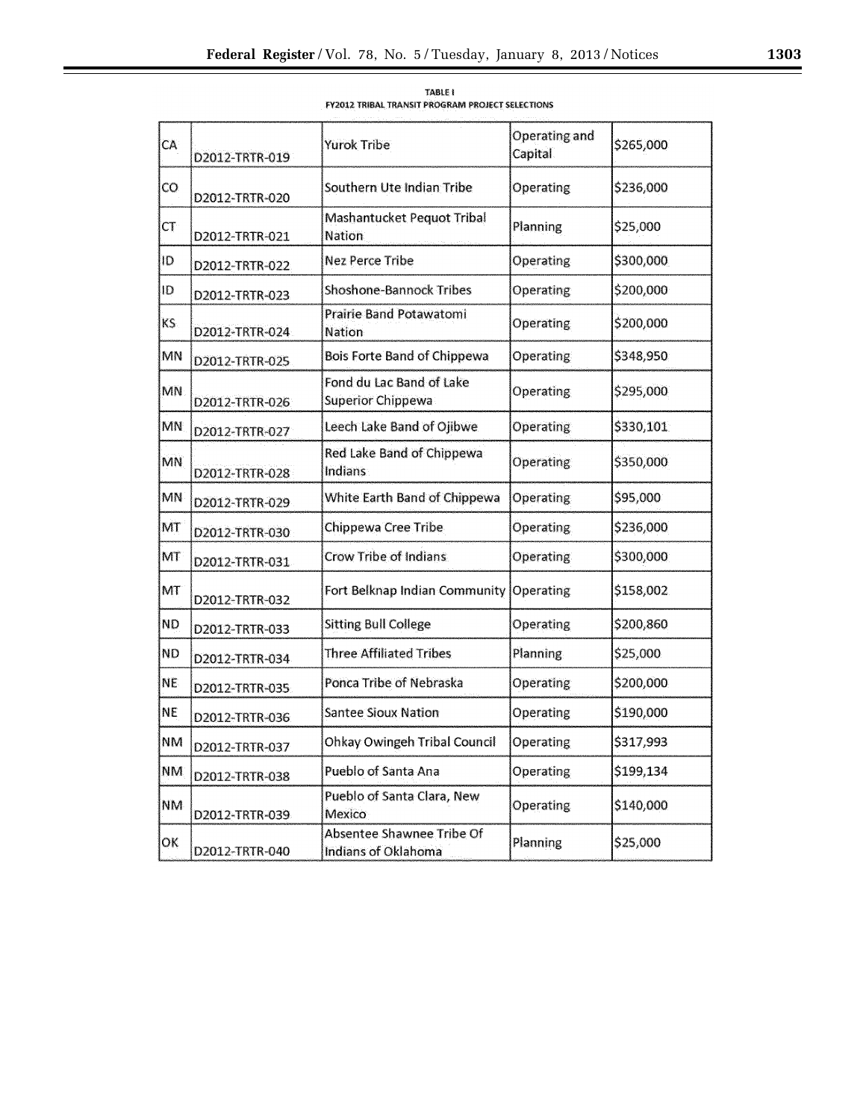| CA        | D2012-TRTR-019 | Yurok Tribe                                          | Operating and<br>Capital <sup>®</sup> | \$265,000 |
|-----------|----------------|------------------------------------------------------|---------------------------------------|-----------|
| CO.       | D2012-TRTR-020 | Southern Ute Indian Tribe                            | Operating                             | \$236,000 |
| <b>CT</b> | D2012-TRTR-021 | Mashantucket Pequot Tribal<br><b>Nation</b>          | Planning                              | \$25,000  |
| ID        | D2012-TRTR-022 | <b>Nez Perce Tribe</b>                               | Operating                             | \$300,000 |
| ID        | D2012-TRTR-023 | <b>Shoshone-Bannock Tribes</b>                       | Operating                             | \$200,000 |
| KS.       | D2012-TRTR-024 | <b>Prairie Band Potawatomi</b><br><b>Nation</b>      | Operating                             | \$200,000 |
| MN        | D2012-TRTR-025 | <b>Bois Forte Band of Chippewa</b>                   | Operating                             | \$348,950 |
| MN        | D2012-TRTR-026 | Fond du Lac Band of Lake<br><b>Superior Chippewa</b> | Operating                             | \$295,000 |
| <b>MN</b> | D2012-TRTR-027 | Leech Lake Band of Ojibwe                            | Operating                             | \$330,101 |
| MN        | D2012-TRTR-028 | Red Lake Band of Chippewa<br><b>Indians</b>          | <b>Operating</b>                      | \$350,000 |
| <b>MN</b> | D2012-TRTR-029 | White Earth Band of Chippewa                         | Operating                             | \$95,000  |
| MT        | D2012-TRTR-030 | Chippewa Cree Tribe                                  | Operating                             | \$236,000 |
| MT        | D2012-TRTR-031 | Crow Tribe of Indians                                | <b>Operating</b>                      | \$300,000 |
| MT        | D2012-TRTR-032 | Fort Belknap Indian Community                        | Operating                             | \$158,002 |
| <b>ND</b> | D2012-TRTR-033 | <b>Sitting Bull College</b>                          | Operating                             | \$200,860 |
| <b>ND</b> | D2012-TRTR-034 | <b>Three Affiliated Tribes</b>                       | <b>Planning</b>                       | \$25,000  |
| NE.       | D2012-TRTR-035 | Ponca Tribe of Nebraska                              | Operating                             | \$200,000 |
| <b>NE</b> | D2012-TRTR-036 | <b>Santee Sioux Nation</b>                           | Operating                             | \$190,000 |
| NM        | D2012-TRTR-037 | Ohkay Owingeh Tribal Council                         | Operating                             | \$317,993 |
| NM.       | D2012-TRTR-038 | Pueblo of Santa Ana                                  | Operating                             | \$199,134 |
| <b>NM</b> | D2012-TRTR-039 | Pueblo of Santa Clara, New<br>Mexico                 | <b>Operating</b>                      | \$140,000 |
| ОK        | D2012-TRTR-040 | Absentee Shawnee Tribe Of<br>Indians of Oklahoma     | Planning                              | \$25,000  |

TABLE I **FY2012 TRIBAL TRANSIT PROGRAM PROJECT SELECTIONS**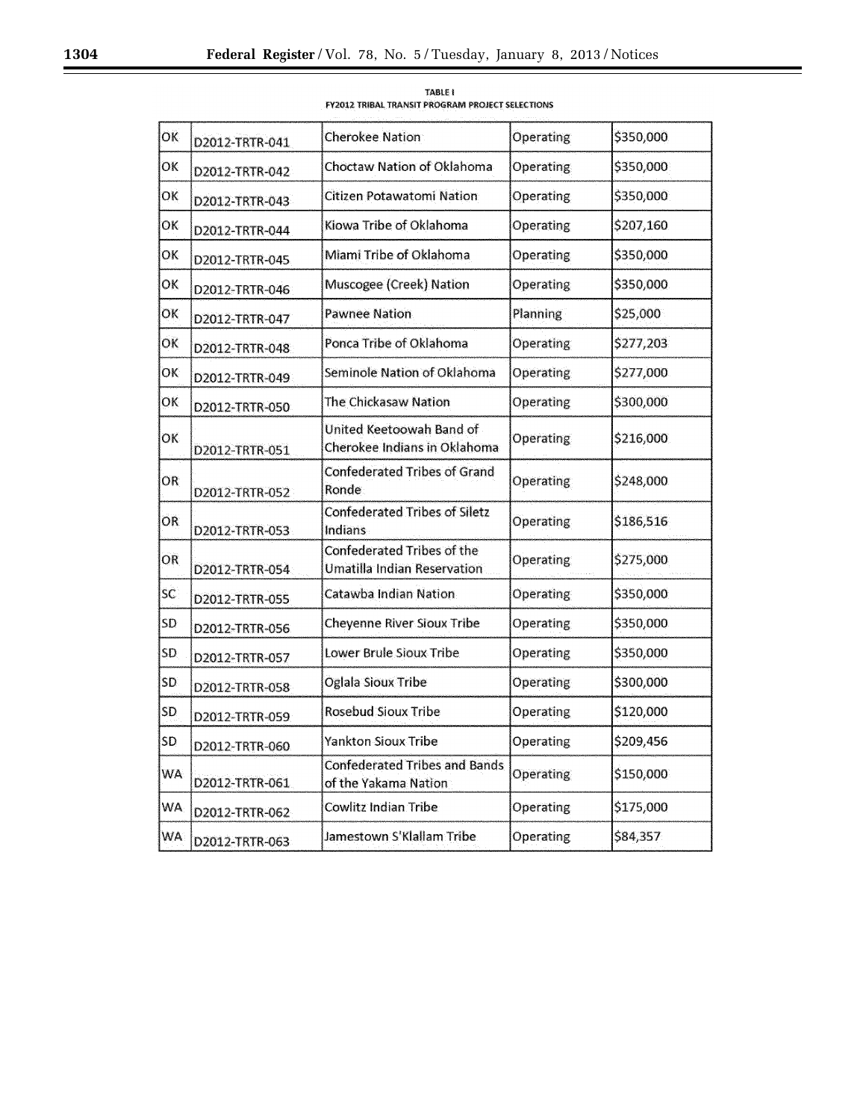| ОK  | D2012-TRTR-041 | <b>Cherokee Nation</b>                                                  | Operating        | \$350,000 |
|-----|----------------|-------------------------------------------------------------------------|------------------|-----------|
| ОK  | D2012-TRTR-042 | Choctaw Nation of Oklahoma                                              | <b>Operating</b> | \$350,000 |
| ОK  | D2012-TRTR-043 | Citizen Potawatomi Nation                                               | <b>Operating</b> | \$350,000 |
| ОΚ  | D2012-TRTR-044 | Kiowa Tribe of Oklahoma                                                 | Operating        | \$207,160 |
| ОΚ  | D2012-TRTR-045 | Miami Tribe of Oklahoma                                                 | <b>Operating</b> | \$350,000 |
| ОĶ  | D2012-TRTR-046 | Muscogee (Creek) Nation                                                 | Operating        | \$350,000 |
| ОK  | D2012-TRTR-047 | <b>Pawnee Nation</b>                                                    | <b>Planning</b>  | \$25,000  |
| ОK  | D2012-TRTR-048 | Ponca Tribe of Oklahoma                                                 | <b>Operating</b> | \$277,203 |
| ОK  | D2012-TRTR-049 | Seminole Nation of Oklahoma                                             | Operating        | \$277,000 |
| ОK  | D2012-TRTR-050 | The Chickasaw Nation                                                    | Operating        | \$300,000 |
| ОK  | D2012-TRTR-051 | United Keetoowah Band of<br>Cherokee Indians in Oklahoma                | Operating        | \$216,000 |
| OR  | D2012-TRTR-052 | <b>Confederated Tribes of Grand</b><br>Ronde                            | Operating        | \$248,000 |
| OR  | D2012-TRTR-053 | <b>Confederated Tribes of Siletz</b><br>Indians                         | Operating        | \$186,516 |
| OR  | D2012-TRTR-054 | <b>Confederated Tribes of the</b><br><b>Umatilla Indian Reservation</b> | <b>Operating</b> | \$275,000 |
| SC. | D2012-TRTR-055 | Catawba Indian Nation                                                   | <b>Operating</b> | \$350,000 |
| SD  | D2012-TRTR-056 | Cheyenne River Sioux Tribe                                              | <b>Operating</b> | \$350,000 |
| SD  | D2012-TRTR-057 | Lower Brule Sioux Tribe                                                 | Operating        | \$350,000 |
| SD  | D2012-TRTR-058 | Oglala Sioux Tribe                                                      | Operating        | \$300,000 |
| SD  | D2012-TRTR-059 | <b>Rosebud Sioux Tribe</b>                                              | Operating        | \$120,000 |
| SD  | D2012-TRTR-060 | Yankton Sioux Tribe                                                     | Operating        | \$209,456 |
| WA. | D2012-TRTR-061 | <b>Confederated Tribes and Bands</b><br>of the Yakama Nation            | Operating        | \$150,000 |
| WA. | D2012-TRTR-062 | Cowlitz Indian Tribe                                                    | Operating        | \$175,000 |
| WA: | D2012-TRTR-063 | Jamestown S'Klallam Tribe                                               | Operating        | \$84,357  |

TABLE I<br>FY2012 TRIBAL TRANSIT PROGRAM PROJECT SELECTIONS